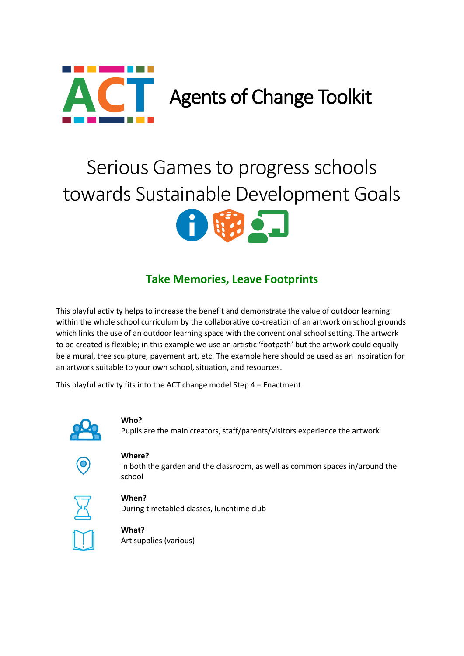

# Serious Games to progress schools towards Sustainable Development Goals



# **Take Memories, Leave Footprints**

This playful activity helps to increase the benefit and demonstrate the value of outdoor learning within the whole school curriculum by the collaborative co-creation of an artwork on school grounds which links the use of an outdoor learning space with the conventional school setting. The artwork to be created is flexible; in this example we use an artistic 'footpath' but the artwork could equally be a mural, tree sculpture, pavement art, etc. The example here should be used as an inspiration for an artwork suitable to your own school, situation, and resources.

This playful activity fits into the ACT change model Step 4 – Enactment.



#### **Who?**

Pupils are the main creators, staff/parents/visitors experience the artwork



**Where?** In both the garden and the classroom, as well as common spaces in/around the school



**When?** During timetabled classes, lunchtime club

**What?** Art supplies (various)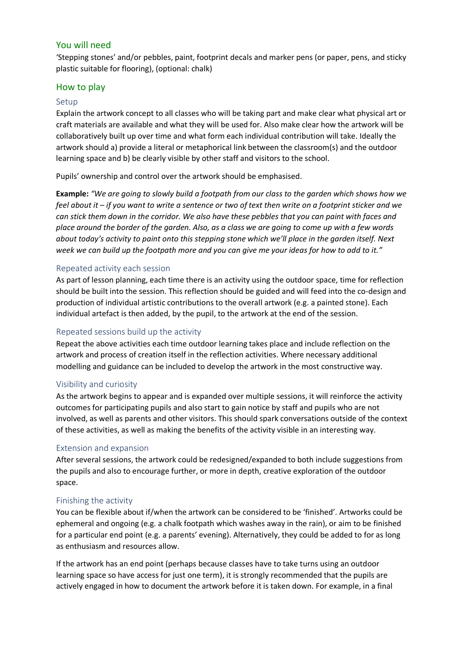### You will need

'Stepping stones' and/or pebbles, paint, footprint decals and marker pens (or paper, pens, and sticky plastic suitable for flooring), (optional: chalk)

#### How to play

#### Setup

Explain the artwork concept to all classes who will be taking part and make clear what physical art or craft materials are available and what they will be used for. Also make clear how the artwork will be collaboratively built up over time and what form each individual contribution will take. Ideally the artwork should a) provide a literal or metaphorical link between the classroom(s) and the outdoor learning space and b) be clearly visible by other staff and visitors to the school.

Pupils' ownership and control over the artwork should be emphasised.

**Example:** *"We are going to slowly build a footpath from our class to the garden which shows how we feel about it – if you want to write a sentence or two of text then write on a footprint sticker and we can stick them down in the corridor. We also have these pebbles that you can paint with faces and place around the border of the garden. Also, as a class we are going to come up with a few words about today's activity to paint onto this stepping stone which we'll place in the garden itself. Next week we can build up the footpath more and you can give me your ideas for how to add to it."*

#### Repeated activity each session

As part of lesson planning, each time there is an activity using the outdoor space, time for reflection should be built into the session. This reflection should be guided and will feed into the co-design and production of individual artistic contributions to the overall artwork (e.g. a painted stone). Each individual artefact is then added, by the pupil, to the artwork at the end of the session.

#### Repeated sessions build up the activity

Repeat the above activities each time outdoor learning takes place and include reflection on the artwork and process of creation itself in the reflection activities. Where necessary additional modelling and guidance can be included to develop the artwork in the most constructive way.

#### Visibility and curiosity

As the artwork begins to appear and is expanded over multiple sessions, it will reinforce the activity outcomes for participating pupils and also start to gain notice by staff and pupils who are not involved, as well as parents and other visitors. This should spark conversations outside of the context of these activities, as well as making the benefits of the activity visible in an interesting way.

#### Extension and expansion

After several sessions, the artwork could be redesigned/expanded to both include suggestions from the pupils and also to encourage further, or more in depth, creative exploration of the outdoor space.

#### Finishing the activity

You can be flexible about if/when the artwork can be considered to be 'finished'. Artworks could be ephemeral and ongoing (e.g. a chalk footpath which washes away in the rain), or aim to be finished for a particular end point (e.g. a parents' evening). Alternatively, they could be added to for as long as enthusiasm and resources allow.

If the artwork has an end point (perhaps because classes have to take turns using an outdoor learning space so have access for just one term), it is strongly recommended that the pupils are actively engaged in how to document the artwork before it is taken down. For example, in a final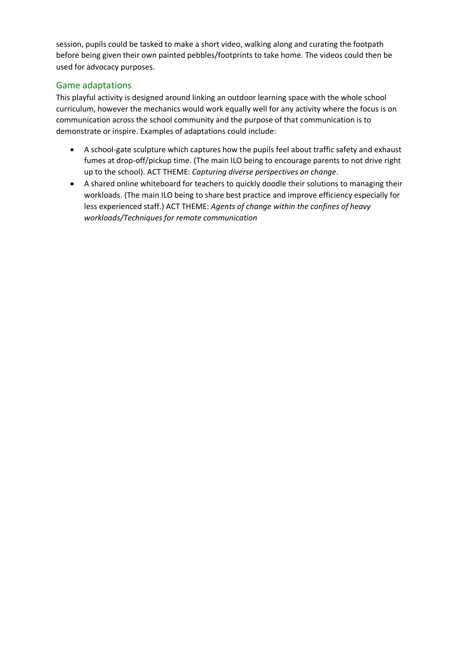session, pupils could be tasked to make a short video, walking along and curating the footpath before being given their own painted pebbles/footprints to take home. The videos could then be used for advocacy purposes.

### Game adaptations

This playful activity is designed around linking an outdoor learning space with the whole school curriculum, however the mechanics would work equally well for any activity where the focus is on communication across the school community and the purpose of that communication is to demonstrate or inspire. Examples of adaptations could include:

- A school-gate sculpture which captures how the pupils feel about traffic safety and exhaust fumes at drop-off/pickup time. (The main ILO being to encourage parents to not drive right up to the school). ACT THEME: *Capturing diverse perspectives on change*.
- A shared online whiteboard for teachers to quickly doodle their solutions to managing their workloads. (The main ILO being to share best practice and improve efficiency especially for less experienced staff.) ACT THEME: *Agents of change within the confines of heavy workloads/Techniques for remote communication*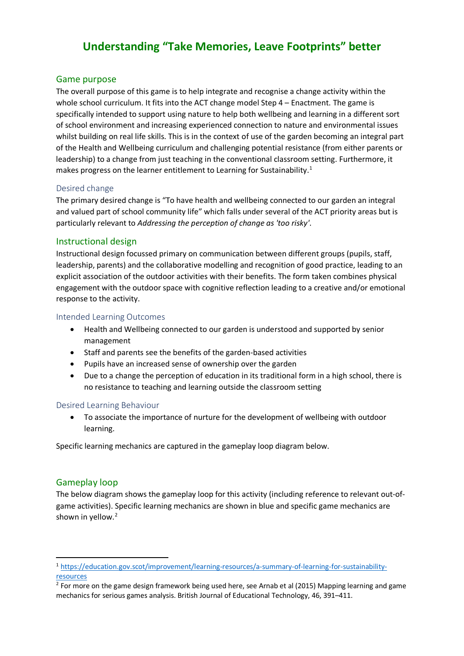# **Understanding "Take Memories, Leave Footprints" better**

#### Game purpose

The overall purpose of this game is to help integrate and recognise a change activity within the whole school curriculum. It fits into the ACT change model Step 4 – Enactment. The game is specifically intended to support using nature to help both wellbeing and learning in a different sort of school environment and increasing experienced connection to nature and environmental issues whilst building on real life skills. This is in the context of use of the garden becoming an integral part of the Health and Wellbeing curriculum and challenging potential resistance (from either parents or leadership) to a change from just teaching in the conventional classroom setting. Furthermore, it makes progress on the learner entitlement to Learning for Sustainability.<sup>[1](#page-3-0)</sup>

#### Desired change

The primary desired change is "To have health and wellbeing connected to our garden an integral and valued part of school community life" which falls under several of the ACT priority areas but is particularly relevant to *Addressing the perception of change as 'too risky'*.

### Instructional design

Instructional design focussed primary on communication between different groups (pupils, staff, leadership, parents) and the collaborative modelling and recognition of good practice, leading to an explicit association of the outdoor activities with their benefits. The form taken combines physical engagement with the outdoor space with cognitive reflection leading to a creative and/or emotional response to the activity.

#### Intended Learning Outcomes

- Health and Wellbeing connected to our garden is understood and supported by senior management
- Staff and parents see the benefits of the garden-based activities
- Pupils have an increased sense of ownership over the garden
- Due to a change the perception of education in its traditional form in a high school, there is no resistance to teaching and learning outside the classroom setting

#### Desired Learning Behaviour

• To associate the importance of nurture for the development of wellbeing with outdoor learning.

Specific learning mechanics are captured in the gameplay loop diagram below.

#### Gameplay loop

The below diagram shows the gameplay loop for this activity (including reference to relevant out-ofgame activities). Specific learning mechanics are shown in blue and specific game mechanics are shown in yellow.<sup>[2](#page-3-1)</sup>

<span id="page-3-0"></span> <sup>1</sup> [https://education.gov.scot/improvement/learning-resources/a-summary-of-learning-for-sustainability](https://education.gov.scot/improvement/learning-resources/a-summary-of-learning-for-sustainability-resources)[resources](https://education.gov.scot/improvement/learning-resources/a-summary-of-learning-for-sustainability-resources)

<span id="page-3-1"></span> $<sup>2</sup>$  For more on the game design framework being used here, see Arnab et al (2015) Mapping learning and game</sup> mechanics for serious games analysis. British Journal of Educational Technology, 46, 391–411.